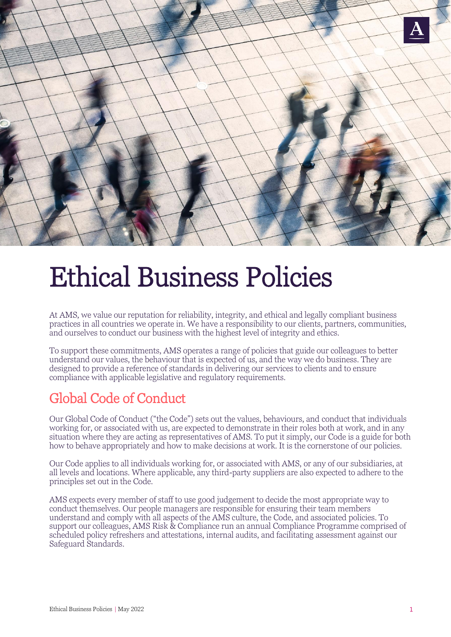

## Ethical Business Policies

At AMS, we value our reputation for reliability, integrity, and ethical and legally compliant business practices in all countries we operate in. We have a responsibility to our clients, partners, communities, and ourselves to conduct our business with the highest level of integrity and ethics.

To support these commitments, AMS operates a range of policies that guide our colleagues to better understand our values, the behaviour that is expected of us, and the way we do business. They are designed to provide a reference of standards in delivering our services to clients and to ensure compliance with applicable legislative and regulatory requirements.

## Global Code of Conduct

Our Global Code of Conduct ("the Code") sets out the values, behaviours, and conduct that individuals working for, or associated with us, are expected to demonstrate in their roles both at work, and in any situation where they are acting as representatives of AMS. To put it simply, our Code is a guide for both how to behave appropriately and how to make decisions at work. It is the cornerstone of our policies.

Our Code applies to all individuals working for, or associated with AMS, or any of our subsidiaries, at all levels and locations. Where applicable, any third-party suppliers are also expected to adhere to the principles set out in the Code.

AMS expects every member of staff to use good judgement to decide the most appropriate way to conduct themselves. Our people managers are responsible for ensuring their team members understand and comply with all aspects of the AMS culture, the Code, and associated policies. To support our colleagues, AMS Risk & Compliance run an annual Compliance Programme comprised of scheduled policy refreshers and attestations, internal audits, and facilitating assessment against our Safeguard Standards.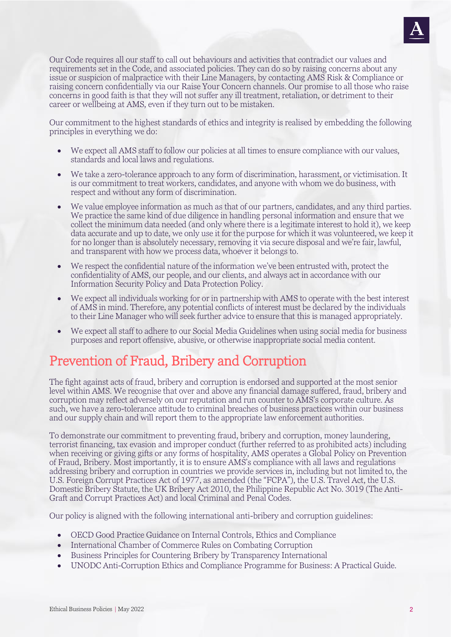

Our Code requires all our staff to call out behaviours and activities that contradict our values and requirements set in the Code, and associated policies. They can do so by raising concerns about any issue or suspicion of malpractice with their Line Managers, by contacting AMS Risk & Compliance or raising concern confidentially via our [Raise Your Concern](https://app.convercent.com/en-us/LandingPage/9ac5aadf-4daf-e711-80d3-000d3ab0d899) channels. Our promise to all those who raise concerns in good faith is that they will not suffer any ill treatment, retaliation, or detriment to their career or wellbeing at AMS, even if they turn out to be mistaken.

Our commitment to the highest standards of ethics and integrity is realised by embedding the following principles in everything we do:

- We expect all AMS staff to follow our policies at all times to ensure compliance with our values, standards and local laws and regulations.
- We take a zero-tolerance approach to any form of discrimination, harassment, or victimisation. It is our commitment to treat workers, candidates, and anyone with whom we do business, with respect and without any form of discrimination.
- We value employee information as much as that of our partners, candidates, and any third parties. We practice the same kind of due diligence in handling personal information and ensure that we collect the minimum data needed (and only where there is a legitimate interest to hold it), we keep data accurate and up to date, we only use it for the purpose for which it was volunteered, we keep it for no longer than is absolutely necessary, removing it via secure disposal and we're fair, lawful, and transparent with how we process data, whoever it belongs to.
- We respect the confidential nature of the information we've been entrusted with, protect the confidentiality of AMS, our people, and our clients, and always act in accordance with our Information Security Policy and Data Protection Policy.
- We expect all individuals working for or in partnership with AMS to operate with the best interest of AMS in mind. Therefore, any potential conflicts of interest must be declared by the individuals to their Line Manager who will seek further advice to ensure that this is managed appropriately.
- We expect all staff to adhere to our Social Media Guidelines when using social media for business purposes and report offensive, abusive, or otherwise inappropriate social media content.

## Prevention of Fraud, Bribery and Corruption

The fight against acts of fraud, bribery and corruption is endorsed and supported at the most senior level within AMS. We recognise that over and above any financial damage suffered, fraud, bribery and corruption may reflect adversely on our reputation and run counter to AMS's corporate culture. As such, we have a zero-tolerance attitude to criminal breaches of business practices within our business and our supply chain and will report them to the appropriate law enforcement authorities.

To demonstrate our commitment to preventing fraud, bribery and corruption, money laundering, terrorist financing, tax evasion and improper conduct (further referred to as prohibited acts) including when receiving or giving gifts or any forms of hospitality, AMS operates a Global Policy on Prevention of Fraud, Bribery. Most importantly, it is to ensure AMS's compliance with all laws and regulations addressing bribery and corruption in countries we provide services in, including but not limited to, the U.S. Foreign Corrupt Practices Act of 1977, as amended (the "FCPA"), the U.S. Travel Act, the U.S. Domestic Bribery Statute, the UK Bribery Act 2010, the Philippine Republic Act No. 3019 (The Anti-Graft and Corrupt Practices Act) and local Criminal and Penal Codes.

Our policy is aligned with the following international anti-bribery and corruption guidelines:

- OECD Good Practice Guidance on Internal Controls, Ethics and Compliance
- International Chamber of Commerce Rules on Combating Corruption
- Business Principles for Countering Bribery by Transparency International
- UNODC Anti-Corruption Ethics and Compliance Programme for Business: A Practical Guide.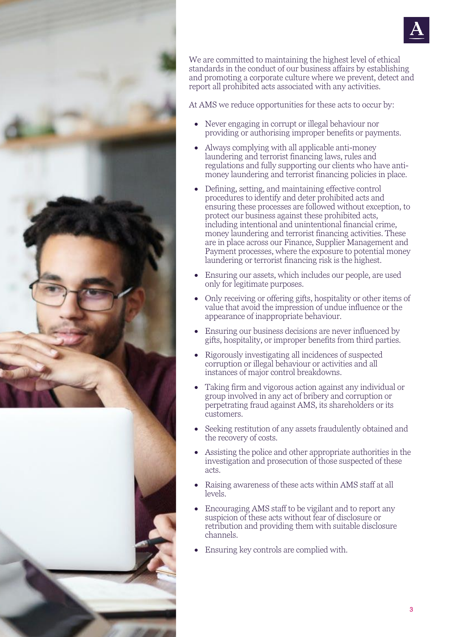



We are committed to maintaining the highest level of ethical standards in the conduct of our business affairs by establishing and promoting a corporate culture where we prevent, detect and report all prohibited acts associated with any activities.

At AMS we reduce opportunities for these acts to occur by:

- Never engaging in corrupt or illegal behaviour nor providing or authorising improper benefits or payments.
- Always complying with all applicable anti-money laundering and terrorist financing laws, rules and regulations and fully supporting our clients who have antimoney laundering and terrorist financing policies in place.
- Defining, setting, and maintaining effective control procedures to identify and deter prohibited acts and ensuring these processes are followed without exception, to protect our business against these prohibited acts, including intentional and unintentional financial crime, money laundering and terrorist financing activities. These are in place across our Finance, Supplier Management and Payment processes, where the exposure to potential money laundering or terrorist financing risk is the highest.
- Ensuring our assets, which includes our people, are used only for legitimate purposes.
- Only receiving or offering gifts, hospitality or other items of value that avoid the impression of undue influence or the appearance of inappropriate behaviour.
- Ensuring our business decisions are never influenced by gifts, hospitality, or improper benefits from third parties.
- Rigorously investigating all incidences of suspected corruption or illegal behaviour or activities and all instances of major control breakdowns.
- Taking firm and vigorous action against any individual or group involved in any act of bribery and corruption or perpetrating fraud against AMS, its shareholders or its customers.
- Seeking restitution of any assets fraudulently obtained and the recovery of costs.
- Assisting the police and other appropriate authorities in the investigation and prosecution of those suspected of these acts.
- Raising awareness of these acts within AMS staff at all levels.
- Encouraging AMS staff to be vigilant and to report any suspicion of these acts without fear of disclosure or retribution and providing them with suitable disclosure channels.
- Ensuring key controls are complied with.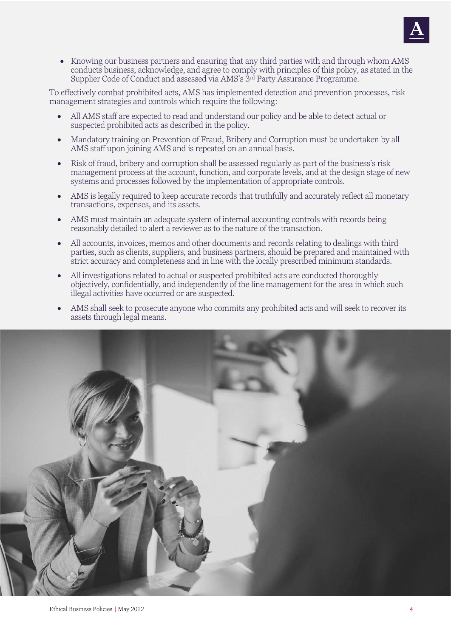

• Knowing our business partners and ensuring that any third parties with and through whom AMS conducts business, acknowledge, and agree to comply with principles of this policy, as stated in the Supplier Code of Conduct and assessed via AMS's 3<sup>rd</sup> Party Assurance Programme.

To effectively combat prohibited acts, AMS has implemented detection and prevention processes, risk management strategies and controls which require the following:

- All AMS staff are expected to read and understand our policy and be able to detect actual or suspected prohibited acts as described in the policy.
- Mandatory training on Prevention of Fraud, Bribery and Corruption must be undertaken by all AMS staff upon joining AMS and is repeated on an annual basis.
- Risk of fraud, bribery and corruption shall be assessed regularly as part of the business's risk management process at the account, function, and corporate levels, and at the design stage of new systems and processes followed by the implementation of appropriate controls.
- AMS is legally required to keep accurate records that truthfully and accurately reflect all monetary transactions, expenses, and its assets.
- AMS must maintain an adequate system of internal accounting controls with records being reasonably detailed to alert a reviewer as to the nature of the transaction.
- All accounts, invoices, memos and other documents and records relating to dealings with third parties, such as clients, suppliers, and business partners, should be prepared and maintained with strict accuracy and completeness and in line with the locally prescribed minimum standards.
- All investigations related to actual or suspected prohibited acts are conducted thoroughly objectively, confidentially, and independently of the line management for the area in which such illegal activities have occurred or are suspected.
- AMS shall seek to prosecute anyone who commits any prohibited acts and will seek to recover its assets through legal means.

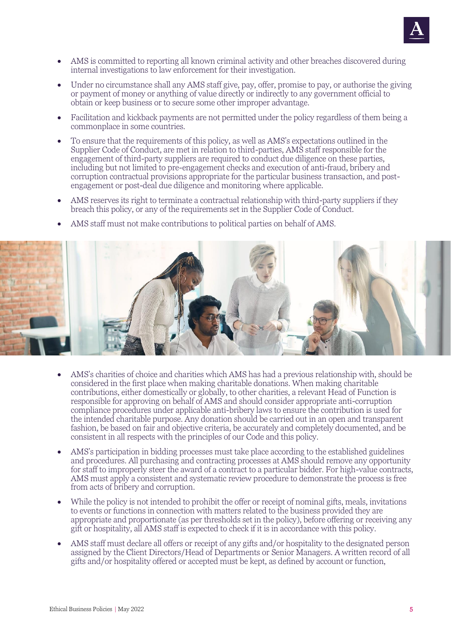

- AMS is committed to reporting all known criminal activity and other breaches discovered during internal investigations to law enforcement for their investigation.
- Under no circumstance shall any AMS staff give, pay, offer, promise to pay, or authorise the giving or payment of money or anything of value directly or indirectly to any government official to obtain or keep business or to secure some other improper advantage.
- Facilitation and kickback payments are not permitted under the policy regardless of them being a commonplace in some countries.
- To ensure that the requirements of this policy, as well as AMS's expectations outlined in the Supplier Code of Conduct, are met in relation to third-parties, AMS staff responsible for the engagement of third-party suppliers are required to conduct due diligence on these parties, including but not limited to pre-engagement checks and execution of anti-fraud, bribery and corruption contractual provisions appropriate for the particular business transaction, and postengagement or post-deal due diligence and monitoring where applicable.
- AMS reserves its right to terminate a contractual relationship with third-party suppliers if they breach this policy, or any of the requirements set in the Supplier Code of Conduct.





- AMS's charities of choice and charities which AMS has had a previous relationship with, should be considered in the first place when making charitable donations. When making charitable contributions, either domestically or globally, to other charities, a relevant Head of Function is responsible for approving on behalf of AMS and should consider appropriate anti-corruption compliance procedures under applicable anti-bribery laws to ensure the contribution is used for the intended charitable purpose. Any donation should be carried out in an open and transparent fashion, be based on fair and objective criteria, be accurately and completely documented, and be consistent in all respects with the principles of our Code and this policy.
- AMS's participation in bidding processes must take place according to the established guidelines and procedures. All purchasing and contracting processes at AMS should remove any opportunity for staff to improperly steer the award of a contract to a particular bidder. For high-value contracts, AMS must apply a consistent and systematic review procedure to demonstrate the process is free from acts of bribery and corruption.
- While the policy is not intended to prohibit the offer or receipt of nominal gifts, meals, invitations to events or functions in connection with matters related to the business provided they are appropriate and proportionate (as per thresholds set in the policy), before offering or receiving any gift or hospitality, all AMS staff is expected to check if it is in accordance with this policy.
- AMS staff must declare all offers or receipt of any gifts and/or hospitality to the designated person assigned by the Client Directors/Head of Departments or Senior Managers. A written record of all gifts and/or hospitality offered or accepted must be kept, as defined by account or function,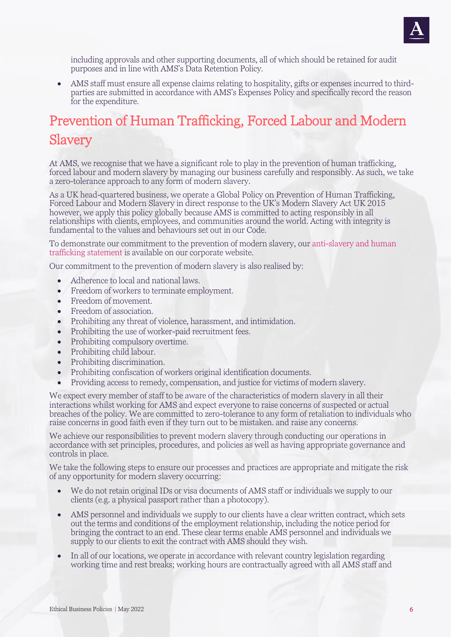

including approvals and other supporting documents, all of which should be retained for audit purposes and in line with AMS's Data Retention Policy.

• AMS staff must ensure all expense claims relating to hospitality, gifts or expenses incurred to thirdparties are submitted in accordance with AMS's Expenses Policy and specifically record the reason for the expenditure.

## Prevention of Human Trafficking, Forced Labour and Modern Slavery

At AMS, we recognise that we have a significant role to play in the prevention of human trafficking, forced labour and modern slavery by managing our business carefully and responsibly. As such, we take a zero-tolerance approach to any form of modern slavery.

As a UK head-quartered business, we operate a Global Policy on Prevention of Human Trafficking, Forced Labour and Modern Slavery in direct response to the UK's Modern Slavery Act UK 2015 however, we apply this policy globally because AMS is committed to acting responsibly in all relationships with clients, employees, and communities around the world. Acting with integrity is fundamental to the values and behaviours set out in our Code.

To demonstrate our commitment to the prevention of modern slavery, our [anti-slavery and human](https://www.weareams.com/modern-slavery-statement/)  [trafficking statement](https://www.weareams.com/modern-slavery-statement/) is available on our corporate website.

Our commitment to the prevention of modern slavery is also realised by:

- Adherence to local and national laws.
- Freedom of workers to terminate employment.
- Freedom of movement.
- Freedom of association.
- Prohibiting any threat of violence, harassment, and intimidation.
- Prohibiting the use of worker-paid recruitment fees.
- Prohibiting compulsory overtime.
- Prohibiting child labour.
- Prohibiting discrimination.
- Prohibiting confiscation of workers original identification documents.
- Providing access to remedy, compensation, and justice for victims of modern slavery.

We expect every member of staff to be aware of the characteristics of modern slavery in all their interactions whilst working for AMS and expect everyone to raise concerns of suspected or actual breaches of the policy. We are committed to zero-tolerance to any form of retaliation to individuals who raise concerns in good faith even if they turn out to be mistaken. and raise any concerns.

We achieve our responsibilities to prevent modern slavery through conducting our operations in accordance with set principles, procedures, and policies as well as having appropriate governance and controls in place.

We take the following steps to ensure our processes and practices are appropriate and mitigate the risk of any opportunity for modern slavery occurring:

- We do not retain original IDs or visa documents of AMS staff or individuals we supply to our clients (e.g. a physical passport rather than a photocopy).
- AMS personnel and individuals we supply to our clients have a clear written contract, which sets out the terms and conditions of the employment relationship, including the notice period for bringing the contract to an end. These clear terms enable AMS personnel and individuals we supply to our clients to exit the contract with AMS should they wish.
- In all of our locations, we operate in accordance with relevant country legislation regarding working time and rest breaks; working hours are contractually agreed with all AMS staff and